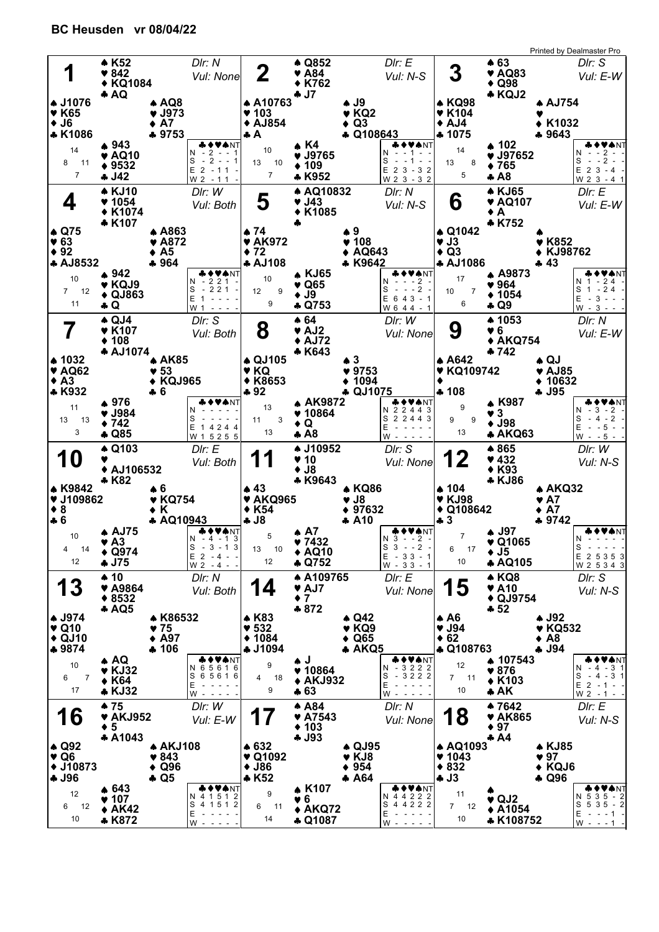